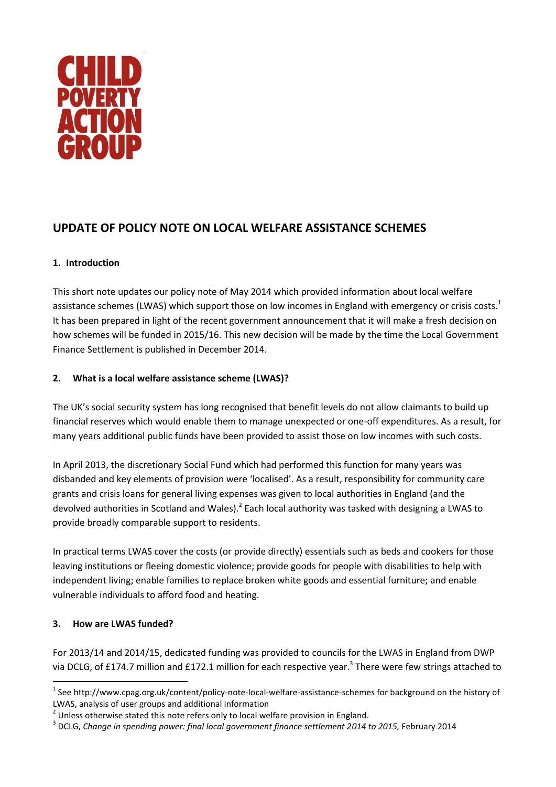

# **UPDATE OF POLICY NOTE ON LOCAL WELFARE ASSISTANCE SCHEMES**

# **1. Introduction**

This short note updates our policy note of May 2014 which provided information about local welfare assistance schemes (LWAS) which support those on low incomes in England with emergency or crisis costs.<sup>1</sup> It has been prepared in light of the recent government announcement that it will make a fresh decision on how schemes will be funded in 2015/16. This new decision will be made by the time the Local Government Finance Settlement is published in December 2014.

# **2. What is a local welfare assistance scheme (LWAS)?**

The UK's social security system has long recognised that benefit levels do not allow claimants to build up financial reserves which would enable them to manage unexpected or one-off expenditures. As a result, for many years additional public funds have been provided to assist those on low incomes with such costs.

In April 2013, the discretionary Social Fund which had performed this function for many years was disbanded and key elements of provision were 'localised'. As a result, responsibility for community care grants and crisis loans for general living expenses was given to local authorities in England (and the devolved authorities in Scotland and Wales).<sup>2</sup> Each local authority was tasked with designing a LWAS to provide broadly comparable support to residents.

In practical terms LWAS cover the costs (or provide directly) essentials such as beds and cookers for those leaving institutions or fleeing domestic violence; provide goods for people with disabilities to help with independent living; enable families to replace broken white goods and essential furniture; and enable vulnerable individuals to afford food and heating.

### **3. How are LWAS funded?**

**.** 

For 2013/14 and 2014/15, dedicated funding was provided to councils for the LWAS in England from DWP via DCLG, of £174.7 million and £172.1 million for each respective year.<sup>3</sup> There were few strings attached to

<sup>&</sup>lt;sup>1</sup> See http://www.cpag.org.uk/content/policy-note-local-welfare-assistance-schemes for background on the history of LWAS, analysis of user groups and additional information

 $2$  Unless otherwise stated this note refers only to local welfare provision in England.

<sup>&</sup>lt;sup>3</sup> DCLG, *Change in spending power: final local government finance settlement 2014 to 2015, February 2014*